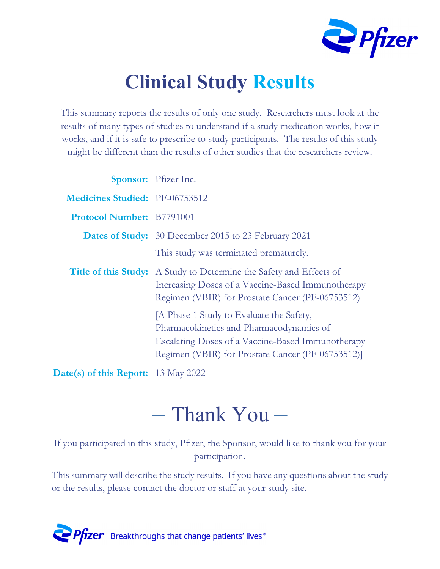

# **Clinical Study Results**

This summary reports the results of only one study. Researchers must look at the results of many types of studies to understand if a study medication works, how it works, and if it is safe to prescribe to study participants. The results of this study might be different than the results of other studies that the researchers review.

|                                            | Sponsor: Pfizer Inc.                                                                                                                                                                           |
|--------------------------------------------|------------------------------------------------------------------------------------------------------------------------------------------------------------------------------------------------|
| <b>Medicines Studied: PF-06753512</b>      |                                                                                                                                                                                                |
| <b>Protocol Number: B7791001</b>           |                                                                                                                                                                                                |
|                                            | <b>Dates of Study:</b> 30 December 2015 to 23 February 2021                                                                                                                                    |
|                                            | This study was terminated prematurely.                                                                                                                                                         |
| Title of this Study:                       | A Study to Determine the Safety and Effects of<br>Increasing Doses of a Vaccine-Based Immunotherapy<br>Regimen (VBIR) for Prostate Cancer (PF-06753512)                                        |
|                                            | [A Phase 1 Study to Evaluate the Safety,<br>Pharmacokinetics and Pharmacodynamics of<br>Escalating Doses of a Vaccine-Based Immunotherapy<br>Regimen (VBIR) for Prostate Cancer (PF-06753512)] |
| <b>Date(s) of this Report:</b> 13 May 2022 |                                                                                                                                                                                                |

# – Thank You –

If you participated in this study, Pfizer, the Sponsor, would like to thank you for your participation.

This summary will describe the study results. If you have any questions about the study or the results, please contact the doctor or staff at your study site.

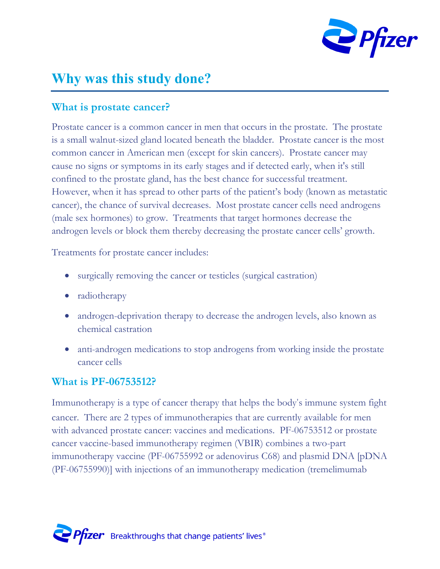

# **Why was this study done?**

### **What is prostate cancer?**

Prostate cancer is a common cancer in men that occurs in the prostate. The prostate is a small walnut-sized gland located beneath the bladder. Prostate cancer is the most common cancer in American men (except for skin cancers). Prostate cancer may cause no signs or symptoms in its early stages and if detected early, when it's still confined to the prostate gland, has the best chance for successful treatment. However, when it has spread to other parts of the patient's body (known as metastatic cancer), the chance of survival decreases. Most prostate cancer cells need androgens (male sex hormones) to grow. Treatments that target hormones decrease the androgen levels or block them thereby decreasing the prostate cancer cells' growth.

Treatments for prostate cancer includes:

- surgically removing the cancer or testicles (surgical castration)
- radiotherapy
- androgen-deprivation therapy to decrease the androgen levels, also known as chemical castration
- anti-androgen medications to stop androgens from working inside the prostate cancer cells

#### **What is PF-06753512?**

Immunotherapy is a type of cancer therapy that helps the body's immune system fight cancer. There are 2 types of immunotherapies that are currently available for men with advanced prostate cancer: vaccines and medications. PF-06753512 or prostate cancer vaccine-based immunotherapy regimen (VBIR) combines a two-part immunotherapy vaccine (PF-06755992 or adenovirus C68) and plasmid DNA [pDNA (PF-06755990)] with injections of an immunotherapy medication (tremelimumab

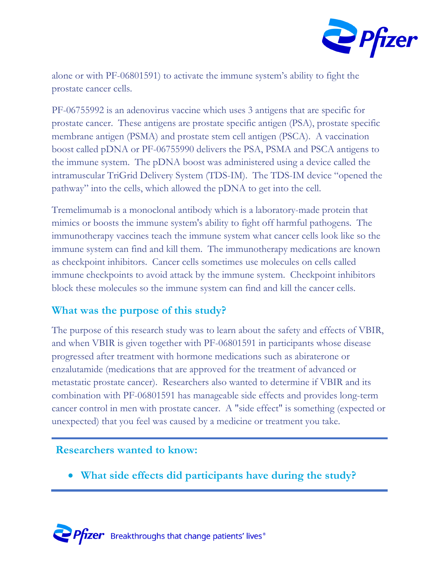

alone or with PF-06801591) to activate the immune system's ability to fight the prostate cancer cells.

PF-06755992 is an adenovirus vaccine which uses 3 antigens that are specific for prostate cancer. These antigens are prostate specific antigen (PSA), prostate specific membrane antigen (PSMA) and prostate stem cell antigen (PSCA). A vaccination boost called pDNA or PF-06755990 delivers the PSA, PSMA and PSCA antigens to the immune system. The pDNA boost was administered using a device called the intramuscular TriGrid Delivery System (TDS-IM). The TDS-IM device "opened the pathway" into the cells, which allowed the pDNA to get into the cell.

Tremelimumab is a monoclonal antibody which is a laboratory-made protein that mimics or boosts the immune system's ability to fight off harmful pathogens. The immunotherapy vaccines teach the immune system what cancer cells look like so the immune system can find and kill them. The immunotherapy medications are known as checkpoint inhibitors. Cancer cells sometimes use molecules on cells called immune checkpoints to avoid attack by the immune system. Checkpoint inhibitors block these molecules so the immune system can find and kill the cancer cells.

#### **What was the purpose of this study?**

The purpose of this research study was to learn about the safety and effects of VBIR, and when VBIR is given together with PF-06801591 in participants whose disease progressed after treatment with hormone medications such as abiraterone or enzalutamide (medications that are approved for the treatment of advanced or metastatic prostate cancer). Researchers also wanted to determine if VBIR and its combination with PF-06801591 has manageable side effects and provides long-term cancer control in men with prostate cancer. A "side effect" is something (expected or unexpected) that you feel was caused by a medicine or treatment you take.

#### **Researchers wanted to know:**

**What side effects did participants have during the study?**

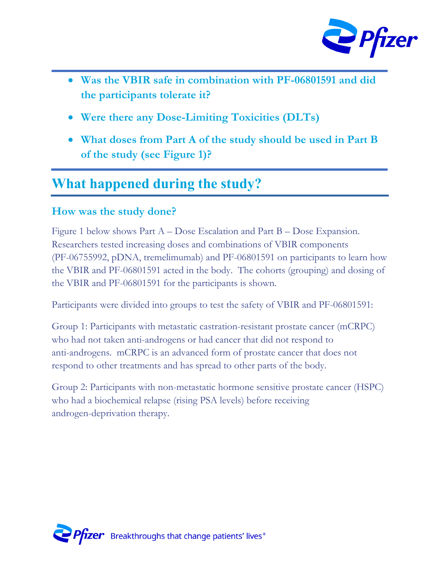

- **Was the VBIR safe in combination with PF-06801591 and did the participants tolerate it?**
- **Were there any Dose-Limiting Toxicities (DLTs)**
- **What doses from Part A of the study should be used in Part B of the study (see Figure 1)?**

# **What happened during the study?**

#### **How was the study done?**

Figure 1 below shows Part A – Dose Escalation and Part B – Dose Expansion. Researchers tested increasing doses and combinations of VBIR components (PF-06755992, pDNA, tremelimumab) and PF-06801591 on participants to learn how the VBIR and PF-06801591 acted in the body. The cohorts (grouping) and dosing of the VBIR and PF-06801591 for the participants is shown.

Participants were divided into groups to test the safety of VBIR and PF-06801591:

Group 1: Participants with metastatic castration-resistant prostate cancer (mCRPC) who had not taken anti-androgens or had cancer that did not respond to anti-androgens. mCRPC is an advanced form of prostate cancer that does not respond to other treatments and has spread to other parts of the body.

Group 2: Participants with non-metastatic hormone sensitive prostate cancer (HSPC) who had a biochemical relapse (rising PSA levels) before receiving androgen-deprivation therapy.

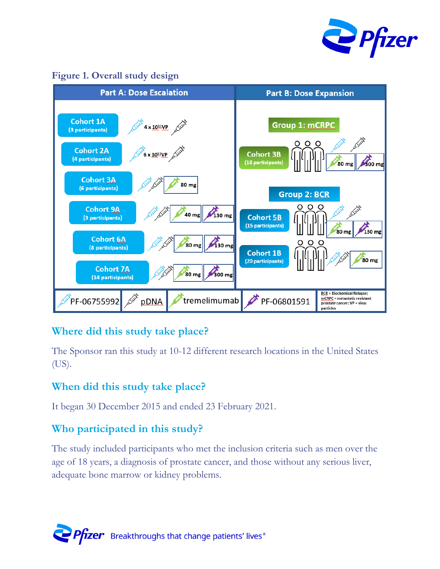



#### **Figure 1. Overall study design**

### **Where did this study take place?**

The Sponsor ran this study at 10-12 different research locations in the United States (US).

### **When did this study take place?**

It began 30 December 2015 and ended 23 February 2021.

### **Who participated in this study?**

The study included participants who met the inclusion criteria such as men over the age of 18 years, a diagnosis of prostate cancer, and those without any serious liver, adequate bone marrow or kidney problems.

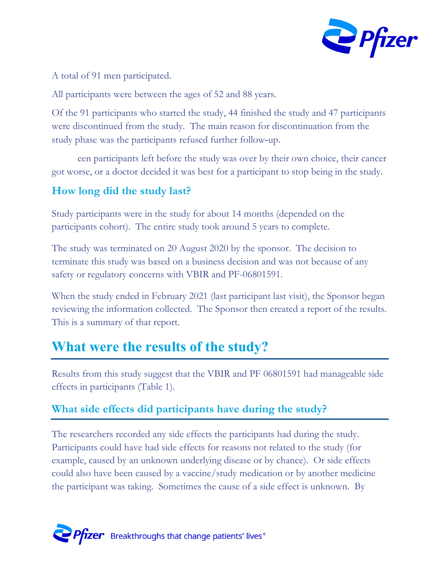

A total of 91 men participated.

All participants were between the ages of 52 and 88 years.

Of the 91 participants who started the study, 44 finished the study and 47 participants were discontinued from the study. The main reason for discontinuation from the study phase was the participants refused further follow-up.

een participants left before the study was over by their own choice, their cancer got worse, or a doctor decided it was best for a participant to stop being in the study.

### **How long did the study last?**

Study participants were in the study for about 14 months (depended on the participants cohort). The entire study took around 5 years to complete.

The study was terminated on 20 August 2020 by the sponsor. The decision to terminate this study was based on a business decision and was not because of any safety or regulatory concerns with VBIR and PF-06801591.

When the study ended in February 2021 (last participant last visit), the Sponsor began reviewing the information collected. The Sponsor then created a report of the results. This is a summary of that report.

### **What were the results of the study?**

Results from this study suggest that the VBIR and PF 06801591 had manageable side effects in participants (Table 1).

### **What side effects did participants have during the study?**

The researchers recorded any side effects the participants had during the study. Participants could have had side effects for reasons not related to the study (for example, caused by an unknown underlying disease or by chance). Or side effects could also have been caused by a vaccine/study medication or by another medicine the participant was taking. Sometimes the cause of a side effect is unknown. By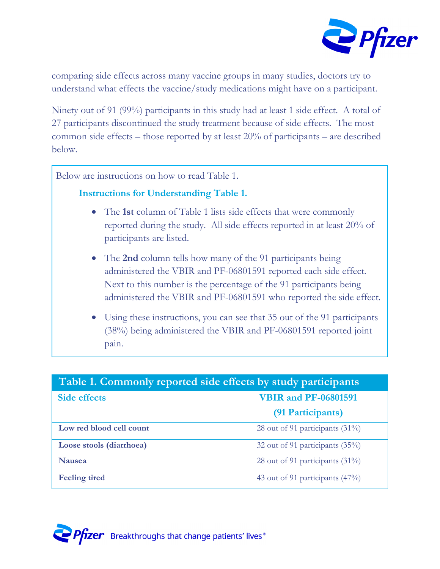

comparing side effects across many vaccine groups in many studies, doctors try to understand what effects the vaccine/study medications might have on a participant.

Ninety out of 91 (99%) participants in this study had at least 1 side effect. A total of 27 participants discontinued the study treatment because of side effects. The most common side effects – those reported by at least 20% of participants – are described below.

Below are instructions on how to read Table 1.

#### **Instructions for Understanding Table 1.**

- The **1st** column of Table 1 lists side effects that were commonly reported during the study. All side effects reported in at least 20% of participants are listed.
- The **2nd** column tells how many of the 91 participants being administered the VBIR and PF-06801591 reported each side effect. Next to this number is the percentage of the 91 participants being administered the VBIR and PF-06801591 who reported the side effect.
- Using these instructions, you can see that 35 out of the 91 participants (38%) being administered the VBIR and PF-06801591 reported joint pain.

| Table 1. Commonly reported side effects by study participants |                                 |  |
|---------------------------------------------------------------|---------------------------------|--|
| <b>Side effects</b>                                           | <b>VBIR and PF-06801591</b>     |  |
|                                                               | (91 Participants)               |  |
| Low red blood cell count                                      | 28 out of 91 participants (31%) |  |
| Loose stools (diarrhoea)                                      | 32 out of 91 participants (35%) |  |
| <b>Nausea</b>                                                 | 28 out of 91 participants (31%) |  |
| <b>Feeling tired</b>                                          | 43 out of 91 participants (47%) |  |

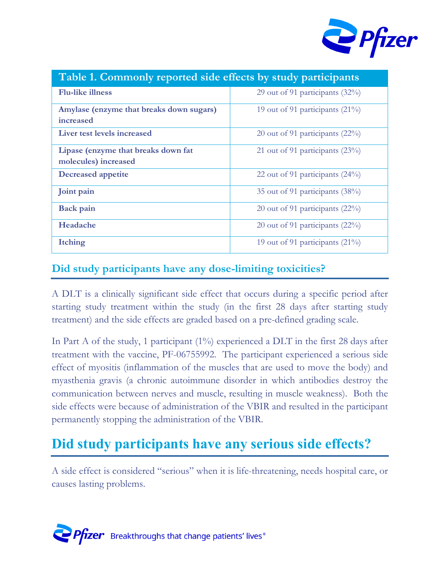

| Table 1. Commonly reported side effects by study participants |                                    |  |
|---------------------------------------------------------------|------------------------------------|--|
| <b>Flu-like illness</b>                                       | 29 out of 91 participants (32%)    |  |
| Amylase (enzyme that breaks down sugars)<br>increased         | 19 out of 91 participants $(21\%)$ |  |
| Liver test levels increased                                   | 20 out of 91 participants $(22\%)$ |  |
| Lipase (enzyme that breaks down fat<br>molecules) increased   | 21 out of 91 participants (23%)    |  |
| Decreased appetite                                            | 22 out of 91 participants (24%)    |  |
| Joint pain                                                    | 35 out of 91 participants (38%)    |  |
| <b>Back pain</b>                                              | 20 out of 91 participants $(22\%)$ |  |
| Headache                                                      | 20 out of 91 participants $(22\%)$ |  |
| Itching                                                       | 19 out of 91 participants $(21\%)$ |  |

### **Did study participants have any dose-limiting toxicities?**

A DLT is a clinically significant side effect that occurs during a specific period after starting study treatment within the study (in the first 28 days after starting study treatment) and the side effects are graded based on a pre-defined grading scale.

In Part A of the study, 1 participant (1%) experienced a DLT in the first 28 days after treatment with the vaccine, PF-06755992. The participant experienced a serious side effect of myositis (inflammation of the muscles that are used to move the body) and myasthenia gravis (a chronic autoimmune disorder in which antibodies destroy the communication between nerves and muscle, resulting in muscle weakness). Both the side effects were because of administration of the VBIR and resulted in the participant permanently stopping the administration of the VBIR.

# **Did study participants have any serious side effects?**

A side effect is considered "serious" when it is life-threatening, needs hospital care, or causes lasting problems.

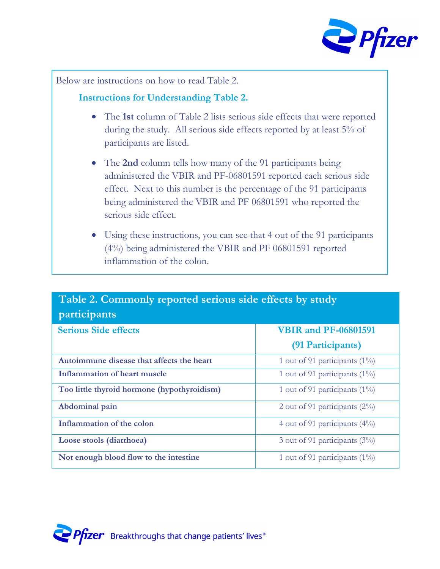

Below are instructions on how to read Table 2.

#### **Instructions for Understanding Table 2.**

- The **1st** column of Table 2 lists serious side effects that were reported during the study. All serious side effects reported by at least 5% of participants are listed.
- The **2nd** column tells how many of the 91 participants being administered the VBIR and PF-06801591 reported each serious side effect. Next to this number is the percentage of the 91 participants being administered the VBIR and PF 06801591 who reported the serious side effect.
- Using these instructions, you can see that 4 out of the 91 participants (4%) being administered the VBIR and PF 06801591 reported inflammation of the colon.

| Table 2. Commonly reported serious side effects by study<br>participants |                                  |  |  |
|--------------------------------------------------------------------------|----------------------------------|--|--|
| <b>Serious Side effects</b>                                              | <b>VBIR and PF-06801591</b>      |  |  |
|                                                                          | (91 Participants)                |  |  |
| Autoimmune disease that affects the heart                                | 1 out of 91 participants $(1\%)$ |  |  |
| Inflammation of heart muscle                                             | 1 out of 91 participants $(1\%)$ |  |  |
| Too little thyroid hormone (hypothyroidism)                              | 1 out of 91 participants $(1\%)$ |  |  |
| Abdominal pain                                                           | 2 out of 91 participants $(2\%)$ |  |  |
| Inflammation of the colon                                                | 4 out of 91 participants $(4\%)$ |  |  |
| Loose stools (diarrhoea)                                                 | 3 out of 91 participants $(3\%)$ |  |  |
| Not enough blood flow to the intestine                                   | 1 out of 91 participants $(1\%)$ |  |  |

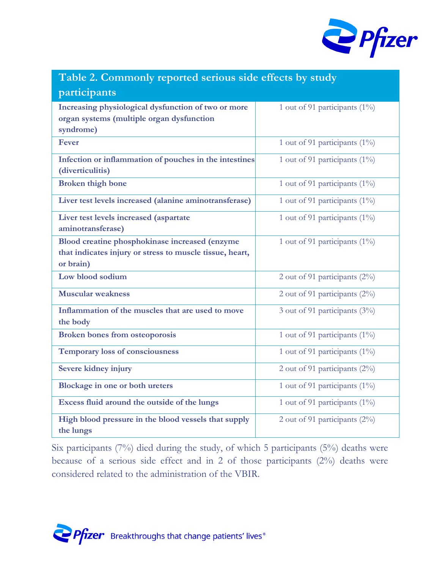

| Table 2. Commonly reported serious side effects by study                                                                |                                  |  |  |
|-------------------------------------------------------------------------------------------------------------------------|----------------------------------|--|--|
| participants                                                                                                            |                                  |  |  |
| Increasing physiological dysfunction of two or more<br>organ systems (multiple organ dysfunction<br>syndrome)           | 1 out of 91 participants $(1\%)$ |  |  |
| <b>Fever</b>                                                                                                            | 1 out of 91 participants $(1\%)$ |  |  |
| Infection or inflammation of pouches in the intestines<br>(diverticulitis)                                              | 1 out of 91 participants $(1\%)$ |  |  |
| <b>Broken</b> thigh bone                                                                                                | 1 out of 91 participants $(1\%)$ |  |  |
| Liver test levels increased (alanine aminotransferase)                                                                  | 1 out of 91 participants (1%)    |  |  |
| Liver test levels increased (aspartate<br>aminotransferase)                                                             | 1 out of 91 participants $(1\%)$ |  |  |
| Blood creatine phosphokinase increased (enzyme<br>that indicates injury or stress to muscle tissue, heart,<br>or brain) | 1 out of 91 participants $(1\%)$ |  |  |
| Low blood sodium                                                                                                        | 2 out of 91 participants (2%)    |  |  |
| <b>Muscular weakness</b>                                                                                                | 2 out of 91 participants $(2\%)$ |  |  |
| Inflammation of the muscles that are used to move<br>the body                                                           | 3 out of 91 participants (3%)    |  |  |
| <b>Broken bones from osteoporosis</b>                                                                                   | 1 out of 91 participants $(1\%)$ |  |  |
| <b>Temporary loss of consciousness</b>                                                                                  | 1 out of 91 participants (1%)    |  |  |
| Severe kidney injury                                                                                                    | 2 out of 91 participants (2%)    |  |  |
| Blockage in one or both ureters                                                                                         | 1 out of 91 participants $(1\%)$ |  |  |
| Excess fluid around the outside of the lungs                                                                            | 1 out of 91 participants $(1\%)$ |  |  |
| High blood pressure in the blood vessels that supply<br>the lungs                                                       | 2 out of 91 participants $(2\%)$ |  |  |

Six participants (7%) died during the study, of which 5 participants (5%) deaths were because of a serious side effect and in 2 of those participants (2%) deaths were considered related to the administration of the VBIR.

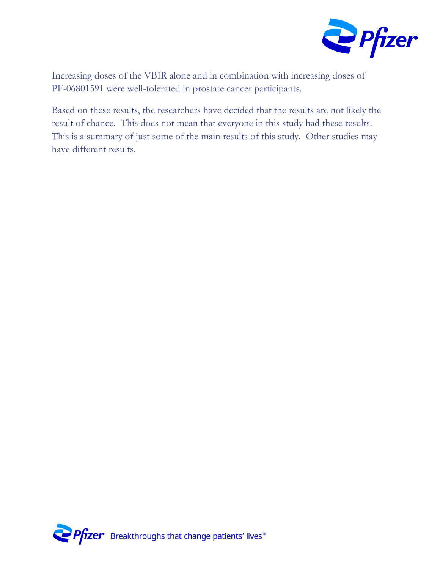

Increasing doses of the VBIR alone and in combination with increasing doses of PF-06801591 were well-tolerated in prostate cancer participants.

Based on these results, the researchers have decided that the results are not likely the result of chance. This does not mean that everyone in this study had these results. This is a summary of just some of the main results of this study. Other studies may have different results.